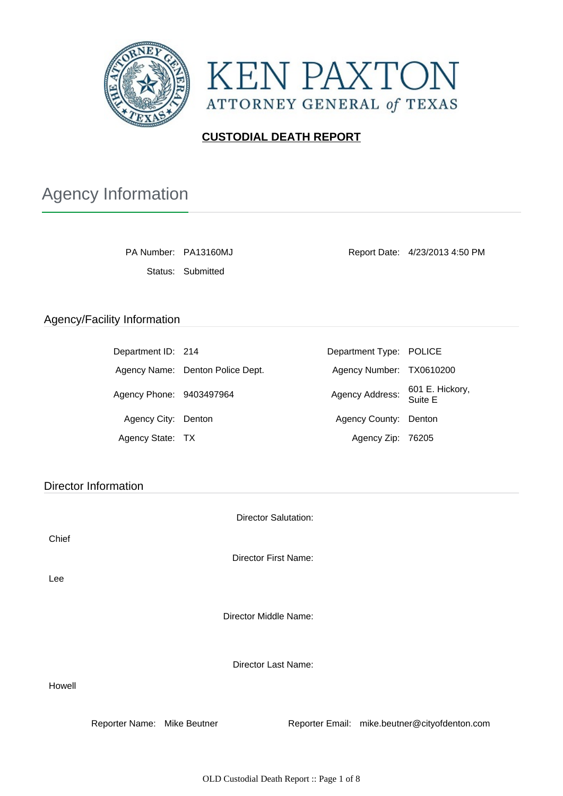



### **CUSTODIAL DEATH REPORT**

# Agency Information

Status: Submitted

PA Number: PA13160MJ Report Date: 4/23/2013 4:50 PM

#### Agency/Facility Information

| Department ID: 214       |                                  | Department Type: POLICE  |                            |
|--------------------------|----------------------------------|--------------------------|----------------------------|
|                          | Agency Name: Denton Police Dept. | Agency Number: TX0610200 |                            |
| Agency Phone: 9403497964 |                                  | Agency Address:          | 601 E. Hickory,<br>Suite E |
| Agency City: Denton      |                                  | Agency County: Denton    |                            |
| Agency State: TX         |                                  | Agency Zip: 76205        |                            |

Director Information

Director Salutation:

Chief

Director First Name:

Lee

Director Middle Name:

Director Last Name:

Howell

Reporter Name: Mike Beutner Reporter Email: mike.beutner@cityofdenton.com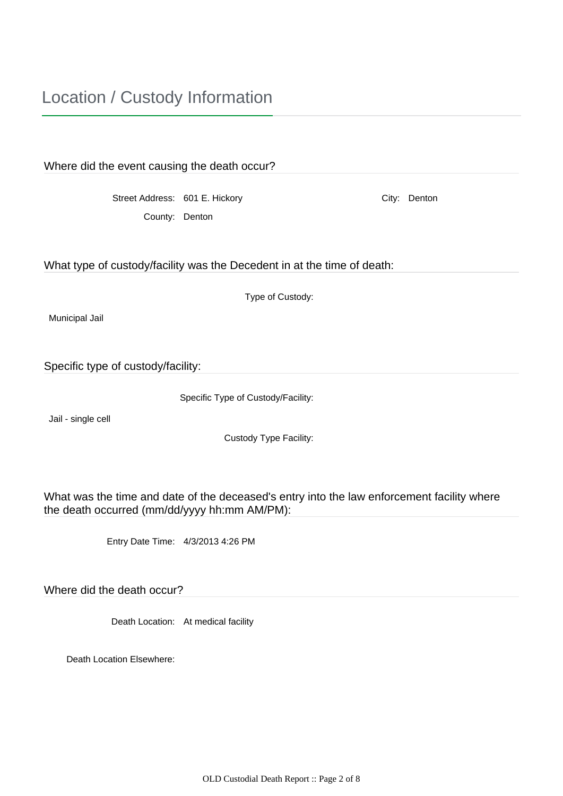| Where did the event causing the death occur?                                               |                  |  |              |  |  |
|--------------------------------------------------------------------------------------------|------------------|--|--------------|--|--|
|                                                                                            |                  |  |              |  |  |
| Street Address: 601 E. Hickory                                                             |                  |  | City: Denton |  |  |
| County: Denton                                                                             |                  |  |              |  |  |
|                                                                                            |                  |  |              |  |  |
|                                                                                            |                  |  |              |  |  |
| What type of custody/facility was the Decedent in at the time of death:                    |                  |  |              |  |  |
|                                                                                            |                  |  |              |  |  |
|                                                                                            | Type of Custody: |  |              |  |  |
| Municipal Jail                                                                             |                  |  |              |  |  |
|                                                                                            |                  |  |              |  |  |
|                                                                                            |                  |  |              |  |  |
| Specific type of custody/facility:                                                         |                  |  |              |  |  |
|                                                                                            |                  |  |              |  |  |
| Specific Type of Custody/Facility:                                                         |                  |  |              |  |  |
| Jail - single cell                                                                         |                  |  |              |  |  |
| Custody Type Facility:                                                                     |                  |  |              |  |  |
|                                                                                            |                  |  |              |  |  |
|                                                                                            |                  |  |              |  |  |
| What was the time and date of the deceased's entry into the law enforcement facility where |                  |  |              |  |  |
| the death occurred (mm/dd/yyyy hh:mm AM/PM):                                               |                  |  |              |  |  |
|                                                                                            |                  |  |              |  |  |
|                                                                                            |                  |  |              |  |  |

Entry Date Time: 4/3/2013 4:26 PM

Where did the death occur?

Death Location: At medical facility

Death Location Elsewhere: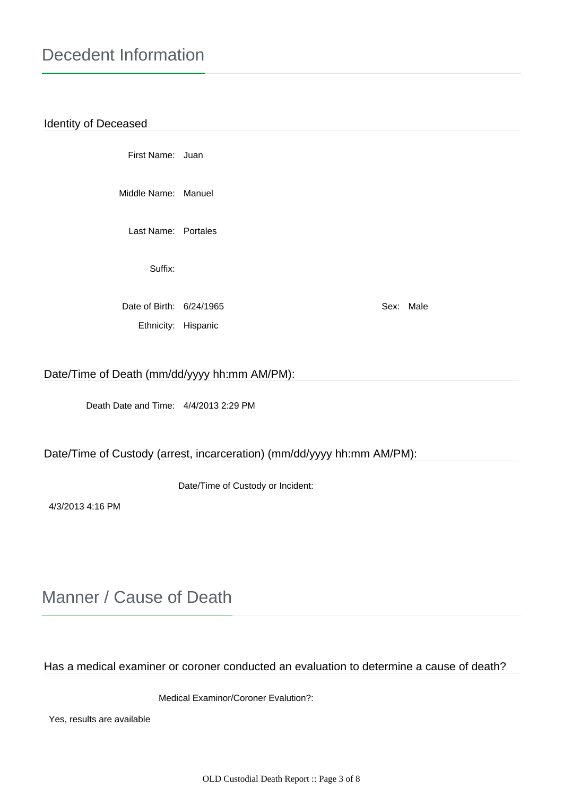#### Identity of Deceased

First Name: Juan

Middle Name: Manuel

Last Name: Portales

Suffix:

Date of Birth: 6/24/1965 Sex: Male Ethnicity: Hispanic

#### Date/Time of Death (mm/dd/yyyy hh:mm AM/PM):

Death Date and Time: 4/4/2013 2:29 PM

#### Date/Time of Custody (arrest, incarceration) (mm/dd/yyyy hh:mm AM/PM):

Date/Time of Custody or Incident:

4/3/2013 4:16 PM

### Manner / Cause of Death

Has a medical examiner or coroner conducted an evaluation to determine a cause of death?

Medical Examinor/Coroner Evalution?:

Yes, results are available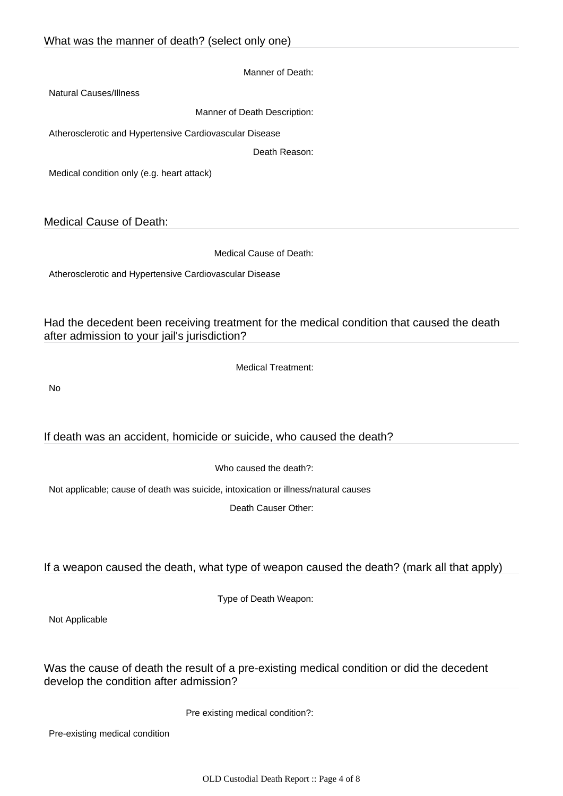Manner of Death:

Natural Causes/Illness

Manner of Death Description:

Atherosclerotic and Hypertensive Cardiovascular Disease

Death Reason:

Medical condition only (e.g. heart attack)

Medical Cause of Death:

Medical Cause of Death:

Atherosclerotic and Hypertensive Cardiovascular Disease

Had the decedent been receiving treatment for the medical condition that caused the death after admission to your jail's jurisdiction?

Medical Treatment:

No

If death was an accident, homicide or suicide, who caused the death?

Who caused the death?:

Not applicable; cause of death was suicide, intoxication or illness/natural causes

Death Causer Other:

If a weapon caused the death, what type of weapon caused the death? (mark all that apply)

Type of Death Weapon:

Not Applicable

Was the cause of death the result of a pre-existing medical condition or did the decedent develop the condition after admission?

Pre existing medical condition?:

Pre-existing medical condition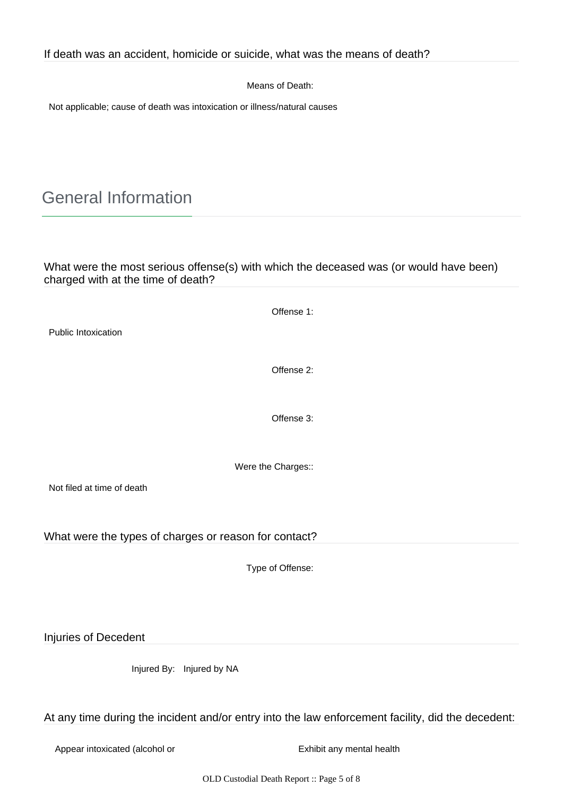Means of Death:

Not applicable; cause of death was intoxication or illness/natural causes

## General Information

What were the most serious offense(s) with which the deceased was (or would have been) charged with at the time of death?

|                                                       | Offense 1:                                                                                        |  |  |  |
|-------------------------------------------------------|---------------------------------------------------------------------------------------------------|--|--|--|
| Public Intoxication                                   |                                                                                                   |  |  |  |
|                                                       | Offense 2:                                                                                        |  |  |  |
|                                                       |                                                                                                   |  |  |  |
|                                                       | Offense 3:                                                                                        |  |  |  |
| Were the Charges::                                    |                                                                                                   |  |  |  |
| Not filed at time of death                            |                                                                                                   |  |  |  |
| What were the types of charges or reason for contact? |                                                                                                   |  |  |  |
|                                                       | Type of Offense:                                                                                  |  |  |  |
|                                                       |                                                                                                   |  |  |  |
| Injuries of Decedent                                  |                                                                                                   |  |  |  |
| Injured By: Injured by NA                             |                                                                                                   |  |  |  |
|                                                       | At any time during the incident and/or entry into the law enforcement facility, did the decedent: |  |  |  |
| Appear intoxicated (alcohol or                        | Exhibit any mental health                                                                         |  |  |  |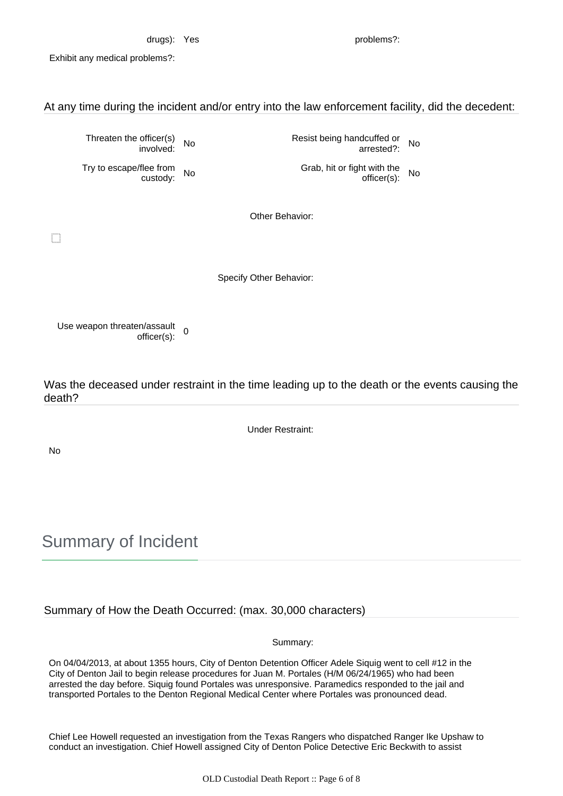drugs): Yes problems?:

Exhibit any medical problems?:

At any time during the incident and/or entry into the law enforcement facility, did the decedent:

Threaten the officer(s)

Try to escape/flee from

officer(s) No Resist being handcuffed or<br>involved: No arrested?: arrested?: No

flee from No Grab, hit or fight with the custody: No Grab, hit or fight with the custody: officer(s): No

Other Behavior:

Specify Other Behavior:

Use weapon threaten/assault en/assault<br>officer(s): 0

Was the deceased under restraint in the time leading up to the death or the events causing the death?

Under Restraint:

No

Summary of Incident

Summary of How the Death Occurred: (max. 30,000 characters)

Summary:

On 04/04/2013, at about 1355 hours, City of Denton Detention Officer Adele Siquig went to cell #12 in the City of Denton Jail to begin release procedures for Juan M. Portales (H/M 06/24/1965) who had been arrested the day before. Siquig found Portales was unresponsive. Paramedics responded to the jail and transported Portales to the Denton Regional Medical Center where Portales was pronounced dead.

Chief Lee Howell requested an investigation from the Texas Rangers who dispatched Ranger Ike Upshaw to conduct an investigation. Chief Howell assigned City of Denton Police Detective Eric Beckwith to assist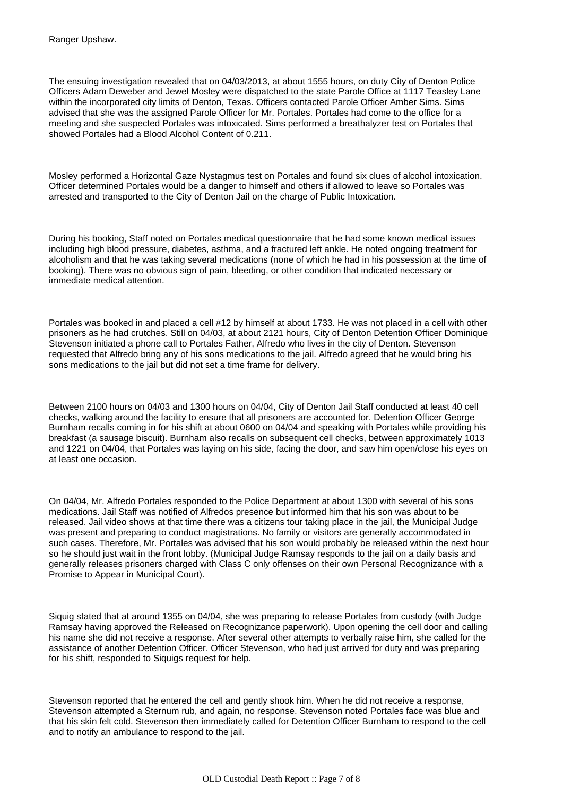The ensuing investigation revealed that on 04/03/2013, at about 1555 hours, on duty City of Denton Police Officers Adam Deweber and Jewel Mosley were dispatched to the state Parole Office at 1117 Teasley Lane within the incorporated city limits of Denton, Texas. Officers contacted Parole Officer Amber Sims. Sims advised that she was the assigned Parole Officer for Mr. Portales. Portales had come to the office for a meeting and she suspected Portales was intoxicated. Sims performed a breathalyzer test on Portales that showed Portales had a Blood Alcohol Content of 0.211.

Mosley performed a Horizontal Gaze Nystagmus test on Portales and found six clues of alcohol intoxication. Officer determined Portales would be a danger to himself and others if allowed to leave so Portales was arrested and transported to the City of Denton Jail on the charge of Public Intoxication.

During his booking, Staff noted on Portales medical questionnaire that he had some known medical issues including high blood pressure, diabetes, asthma, and a fractured left ankle. He noted ongoing treatment for alcoholism and that he was taking several medications (none of which he had in his possession at the time of booking). There was no obvious sign of pain, bleeding, or other condition that indicated necessary or immediate medical attention.

Portales was booked in and placed a cell #12 by himself at about 1733. He was not placed in a cell with other prisoners as he had crutches. Still on 04/03, at about 2121 hours, City of Denton Detention Officer Dominique Stevenson initiated a phone call to Portales Father, Alfredo who lives in the city of Denton. Stevenson requested that Alfredo bring any of his sons medications to the jail. Alfredo agreed that he would bring his sons medications to the jail but did not set a time frame for delivery.

Between 2100 hours on 04/03 and 1300 hours on 04/04, City of Denton Jail Staff conducted at least 40 cell checks, walking around the facility to ensure that all prisoners are accounted for. Detention Officer George Burnham recalls coming in for his shift at about 0600 on 04/04 and speaking with Portales while providing his breakfast (a sausage biscuit). Burnham also recalls on subsequent cell checks, between approximately 1013 and 1221 on 04/04, that Portales was laying on his side, facing the door, and saw him open/close his eyes on at least one occasion.

On 04/04, Mr. Alfredo Portales responded to the Police Department at about 1300 with several of his sons medications. Jail Staff was notified of Alfredos presence but informed him that his son was about to be released. Jail video shows at that time there was a citizens tour taking place in the jail, the Municipal Judge was present and preparing to conduct magistrations. No family or visitors are generally accommodated in such cases. Therefore, Mr. Portales was advised that his son would probably be released within the next hour so he should just wait in the front lobby. (Municipal Judge Ramsay responds to the jail on a daily basis and generally releases prisoners charged with Class C only offenses on their own Personal Recognizance with a Promise to Appear in Municipal Court).

Siquig stated that at around 1355 on 04/04, she was preparing to release Portales from custody (with Judge Ramsay having approved the Released on Recognizance paperwork). Upon opening the cell door and calling his name she did not receive a response. After several other attempts to verbally raise him, she called for the assistance of another Detention Officer. Officer Stevenson, who had just arrived for duty and was preparing for his shift, responded to Siquigs request for help.

Stevenson reported that he entered the cell and gently shook him. When he did not receive a response, Stevenson attempted a Sternum rub, and again, no response. Stevenson noted Portales face was blue and that his skin felt cold. Stevenson then immediately called for Detention Officer Burnham to respond to the cell and to notify an ambulance to respond to the jail.